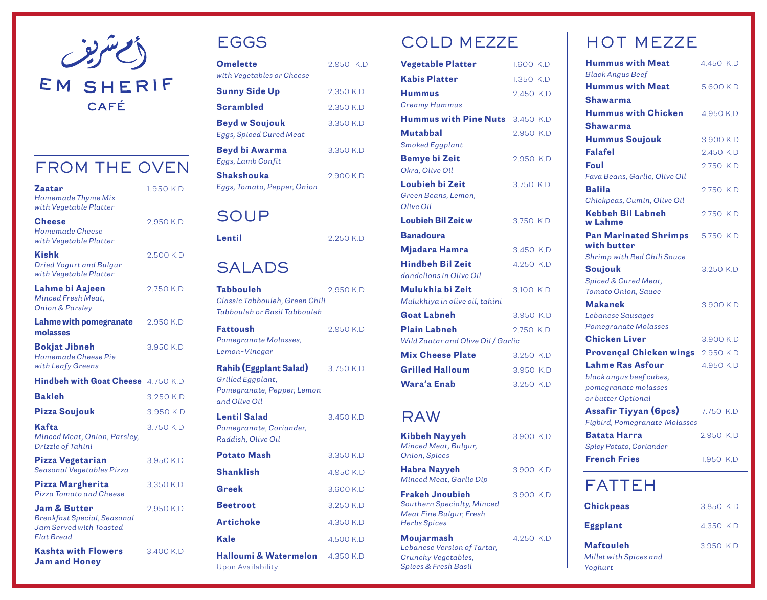

# FROM THE OVEN

| <b>Zaatar</b><br>Homemade Thyme Mix<br>with Vegetable Platter                                          | 1.950 K.D |
|--------------------------------------------------------------------------------------------------------|-----------|
| <b>Cheese</b><br>Homemade Cheese<br>with Vegetable Platter                                             | 2.950 K.D |
| <b>Kishk</b><br><b>Dried Yogurt and Bulgur</b><br>with Vegetable Platter                               | 2.500 K.D |
| Lahme bi Aajeen<br>Minced Fresh Meat,<br><b>Onion &amp; Parsley</b>                                    | 2.750 K.D |
| Lahme with pomegranate<br>molasses                                                                     | 2.950 K.D |
| <b>Bokjat Jibneh</b><br>Homemade Cheese Pie<br>with Leafy Greens                                       | 3.950 K.D |
| Hindbeh with Goat Cheese 4.750 K.D                                                                     |           |
| <b>Bakleh</b>                                                                                          | 3.250 K.D |
| <b>Pizza Soujouk</b>                                                                                   | 3.950 K.D |
| Kafta<br>Minced Meat, Onion, Parsley,<br>Drizzle of Tahini                                             | 3.750 K.D |
| Pizza Vegetarian<br>Seasonal Vegetables Pizza                                                          | 3.950 K.D |
| Pizza Margherita<br>Pizza Tomato and Cheese                                                            | 3.350 K.D |
| <b>Jam &amp; Butter</b><br>Breakfast Special, Seasonal<br>Jam Served with Toasted<br><b>Flat Bread</b> | 2.950 K.D |
| <b>Kashta with Flowers</b><br><b>Jam and Honey</b>                                                     | 3.400 K.D |

## EGGS

| <b>Omelette</b><br>with Vegetables or Cheese     | 2950 KD     |
|--------------------------------------------------|-------------|
| <b>Sunny Side Up</b>                             | $2.350$ K D |
| <b>Scrambled</b>                                 | 2 350 K D   |
| <b>Beyd w Soujouk</b><br>Eggs, Spiced Cured Meat | 3 350 K D   |
| Beyd bi Awarma<br>Eggs, Lamb Confit              | 3 350 K D   |
| <b>Shakshouka</b><br>Eggs, Tomato, Pepper, Onion | 2 900 K D   |

#### SOUP

*Lentil 2.250 K.D*

#### SALADS

| <b>Tabbouleh</b><br>Classic Tabbouleh, Green Chili<br>Tabbouleh or Basil Tabbouleh                | 2.950 K.D   |
|---------------------------------------------------------------------------------------------------|-------------|
| <b>Fattoush</b><br>Pomegranate Molasses,<br>Lemon-Vinegar                                         | $2.950$ K.D |
| <b>Rahib (Eggplant Salad)</b><br>Grilled Eggplant,<br>Pomegranate, Pepper, Lemon<br>and Olive Oil | 3.750 K.D   |
| Lentil Salad                                                                                      | 3 450 K D   |

| Pomegranate, Coriander,<br>Raddish, Olive Oil               |           |
|-------------------------------------------------------------|-----------|
| Potato Mash                                                 | 3.350 K.D |
| <b>Shanklish</b>                                            | 4.950 K.D |
| Greek                                                       | 3.600 K.D |
| <b>Beetroot</b>                                             | 3.250 K.D |
| <b>Artichoke</b>                                            | 4.350 K.D |
| <b>Kale</b>                                                 | 4.500 K.D |
| Halloumi & Watermelon 4.350 K.D<br><b>Upon Availability</b> |           |

# COLD MEZZE

| <b>Vegetable Platter</b>                            | 1.600 K.D |
|-----------------------------------------------------|-----------|
| <b>Kabis Platter</b>                                | 1.350 K.D |
| Hummus                                              | 2450 KD   |
| <b>Creamy Hummus</b>                                |           |
| Hummus with Pine Nuts 3.450 K.D                     |           |
| <b>Mutabbal</b><br><b>Smoked Eggplant</b>           | 2.950 K.D |
| <b>Bemye bi Zeit</b><br>Okra, Olive Oil             | 2.950 K.D |
| Loubieh bi Zeit<br>Green Beans, Lemon,<br>Olive Oil | 3.750 K.D |
| <b>Loubieh Bil Zeit w</b>                           | 3.750 K.D |
| <b>Banadoura</b>                                    |           |
| Mjadara Hamra                                       | 3.450 K.D |
| <b>Hindbeh Bil Zeit</b><br>dandelions in Olive Oil  | 4.250 K.D |
| Mulukhia bi Zeit<br>Mulukhiya in olive oil, tahini  | 3.100 K.D |
| <b>Goat Labneh</b>                                  | 3.950 K.D |
| <b>Plain Labneh</b>                                 | 2.750 K.D |
| Wild Zaatar and Olive Oil / Garlic                  |           |
| <b>Mix Cheese Plate</b>                             | 3.250 K.D |
| <b>Grilled Halloum</b>                              | 3.950 K.D |
| Wara'a Enab                                         | 3.250 K.D |

#### RAW

| <b>Kibbeh Nayyeh</b><br>Minced Meat, Bulgur,<br>Onion, Spices                                          | $3900$ KD |
|--------------------------------------------------------------------------------------------------------|-----------|
| Habra Nayyeh<br><b>Minced Meat, Garlic Dip</b>                                                         | 3900 KD   |
| <b>Frakeh Jnoubieh</b><br>Southern Specialty, Minced<br>Meat Fine Bulgur, Fresh<br><b>Herbs Spices</b> | 3900 KD   |

*Moujarmash 4.250 K.D Lebanese Version of Tartar, Crunchy Vegetables, Spices & Fresh Basil*

# HOT MEZZE

| <b>Hummus with Meat</b><br><b>Black Angus Beef</b> | 4.450 K.D |
|----------------------------------------------------|-----------|
| <b>Hummus with Meat</b>                            | 5.600 K.D |
| <b>Shawarma</b>                                    |           |
| <b>Hummus with Chicken</b>                         | 4.950 K.D |
| Shawarma                                           |           |
| <b>Hummus Soujouk</b>                              | 3.900 K.D |
| <b>Falafel</b>                                     | 2.450 K.D |
| Foul                                               | 2.750 K.D |
| Fava Beans, Garlic, Olive Oil                      |           |
| <b>Balila</b>                                      | 2.750 K.D |
| Chickpeas, Cumin, Olive Oil                        |           |
| <b>Kebbeh Bil Labneh</b><br>w Lahme                | 2.750 K.D |
| <b>Pan Marinated Shrimps</b><br>with butter        | 5.750 K.D |
| Shrimp with Red Chili Sauce                        |           |
| Soujouk                                            | 3.250 K.D |
| Spiced & Cured Meat,                               |           |
| <b>Tomato Onion, Sauce</b>                         |           |
| <b>Makanek</b>                                     | 3.900 K.D |
| Lebanese Sausages                                  |           |
| <b>Pomegranate Molasses</b>                        |           |
| <b>Chicken Liver</b>                               | 3.900 K.D |
| <b>Provençal Chicken wings</b>                     | 2.950 K.D |
| <b>Lahme Ras Asfour</b>                            | 4.950 K.D |
| black angus beef cubes,                            |           |
| pomegranate molasses                               |           |
| or butter Optional                                 |           |
| <b>Assafir Tiyyan (Gpcs)</b>                       | 7.750 K.D |
| <b>Figbird, Pomegranate Molasses</b>               |           |
| <b>Batata Harra</b>                                | 2.950 K.D |
| Spicy Potato, Coriander                            |           |
| <b>French Fries</b>                                | 1.950 K.D |

## FATTEH

| <b>Chickpeas</b>       | 3850 KD   |
|------------------------|-----------|
| <b>Eggplant</b>        | 4350 KD   |
| <b>Maftouleh</b>       | 3.950 K.D |
| Millet with Spices and |           |
| Yoghurt                |           |